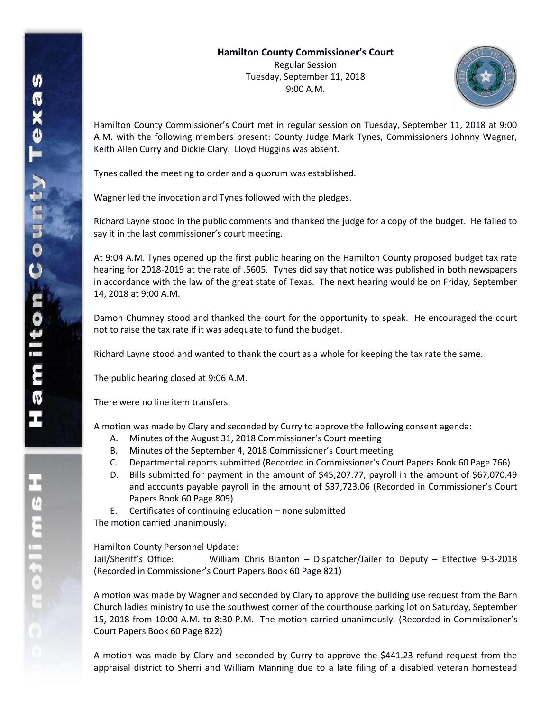

Hamilton County Commissioner's Court met in regular session on Tuesday, September 11, 2018 at 9:00 A.M. with the following members present: County Judge Mark Tynes, Commissioners Johnny Wagner, Keith Allen Curry and Dickie Clary. Lloyd Huggins was absent.

Tynes called the meeting to order and a quorum was established.

Wagner led the invocation and Tynes followed with the pledges.

Richard Layne stood in the public comments and thanked the judge for a copy of the budget. He failed to say it in the last commissioner's court meeting.

At 9:04 A.M. Tynes opened up the first public hearing on the Hamilton County proposed budget tax rate hearing for 2018-2019 at the rate of .5605. Tynes did say that notice was published in both newspapers in accordance with the law of the great state of Texas. The next hearing would be on Friday, September 14, 2018 at 9:00 A.M.

Damon Chumney stood and thanked the court for the opportunity to speak. He encouraged the court not to raise the tax rate if it was adequate to fund the budget.

Richard Layne stood and wanted to thank the court as a whole for keeping the tax rate the same.

The public hearing closed at 9:06 A.M.

There were no line item transfers.

A motion was made by Clary and seconded by Curry to approve the following consent agenda:

- A. Minutes of the August 31, 2018 Commissioner's Court meeting
- B. Minutes of the September 4, 2018 Commissioner's Court meeting
- C. Departmental reports submitted (Recorded in Commissioner's Court Papers Book 60 Page 766)
- D. Bills submitted for payment in the amount of \$45,207.77, payroll in the amount of \$67,070.49 and accounts payable payroll in the amount of \$37,723.06 (Recorded in Commissioner's Court Papers Book 60 Page 809)
- E. Certificates of continuing education none submitted

The motion carried unanimously.

Hamilton County Personnel Update:

Jail/Sheriff's Office: William Chris Blanton – Dispatcher/Jailer to Deputy – Effective 9-3-2018 (Recorded in Commissioner's Court Papers Book 60 Page 821)

A motion was made by Wagner and seconded by Clary to approve the building use request from the Barn Church ladies ministry to use the southwest corner of the courthouse parking lot on Saturday, September 15, 2018 from 10:00 A.M. to 8:30 P.M. The motion carried unanimously. (Recorded in Commissioner's Court Papers Book 60 Page 822)

A motion was made by Clary and seconded by Curry to approve the \$441.23 refund request from the appraisal district to Sherri and William Manning due to a late filing of a disabled veteran homestead

エムミニャウこ